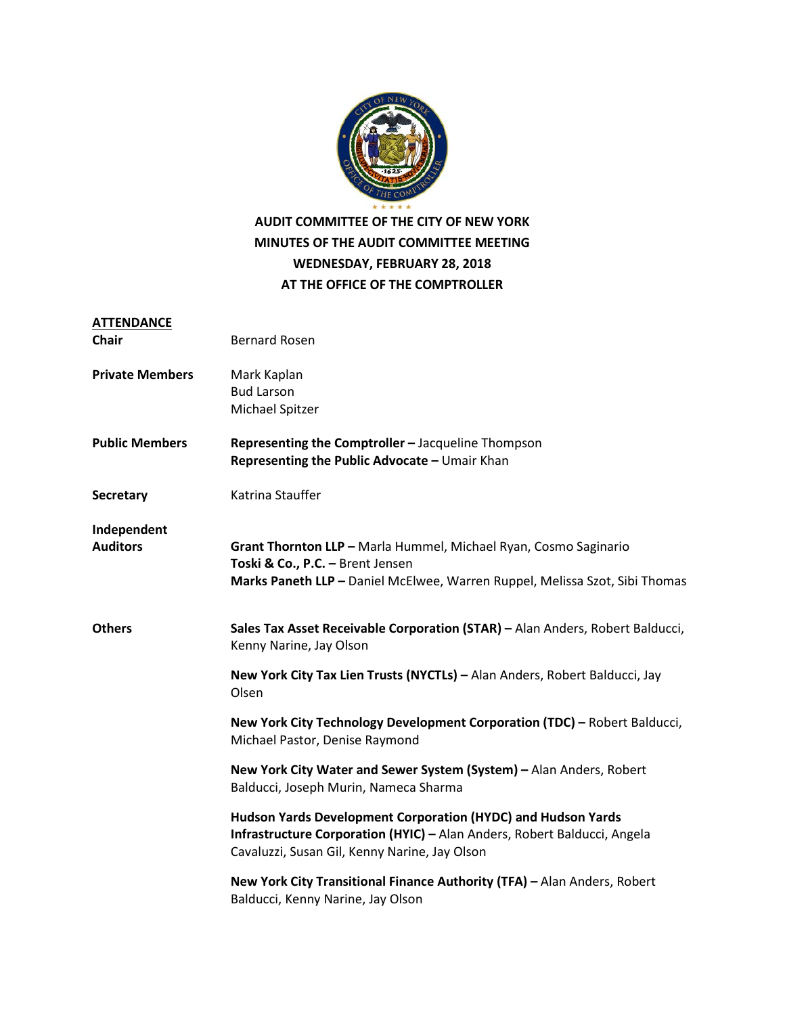

### **AUDIT COMMITTEE OF THE CITY OF NEW YORK MINUTES OF THE AUDIT COMMITTEE MEETING WEDNESDAY, FEBRUARY 28, 2018 AT THE OFFICE OF THE COMPTROLLER**

| <b>ATTENDANCE</b>              |                                                                                                                                                                                           |
|--------------------------------|-------------------------------------------------------------------------------------------------------------------------------------------------------------------------------------------|
| <b>Chair</b>                   | <b>Bernard Rosen</b>                                                                                                                                                                      |
| <b>Private Members</b>         | Mark Kaplan<br><b>Bud Larson</b>                                                                                                                                                          |
|                                | Michael Spitzer                                                                                                                                                                           |
| <b>Public Members</b>          | Representing the Comptroller - Jacqueline Thompson<br>Representing the Public Advocate - Umair Khan                                                                                       |
| <b>Secretary</b>               | Katrina Stauffer                                                                                                                                                                          |
| Independent<br><b>Auditors</b> | Grant Thornton LLP - Marla Hummel, Michael Ryan, Cosmo Saginario<br>Toski & Co., P.C. - Brent Jensen<br>Marks Paneth LLP - Daniel McElwee, Warren Ruppel, Melissa Szot, Sibi Thomas       |
| <b>Others</b>                  | Sales Tax Asset Receivable Corporation (STAR) - Alan Anders, Robert Balducci,<br>Kenny Narine, Jay Olson                                                                                  |
|                                | New York City Tax Lien Trusts (NYCTLs) - Alan Anders, Robert Balducci, Jay<br>Olsen                                                                                                       |
|                                | New York City Technology Development Corporation (TDC) - Robert Balducci,<br>Michael Pastor, Denise Raymond                                                                               |
|                                | New York City Water and Sewer System (System) - Alan Anders, Robert<br>Balducci, Joseph Murin, Nameca Sharma                                                                              |
|                                | Hudson Yards Development Corporation (HYDC) and Hudson Yards<br>Infrastructure Corporation (HYIC) - Alan Anders, Robert Balducci, Angela<br>Cavaluzzi, Susan Gil, Kenny Narine, Jay Olson |
|                                | New York City Transitional Finance Authority (TFA) - Alan Anders, Robert<br>Balducci, Kenny Narine, Jay Olson                                                                             |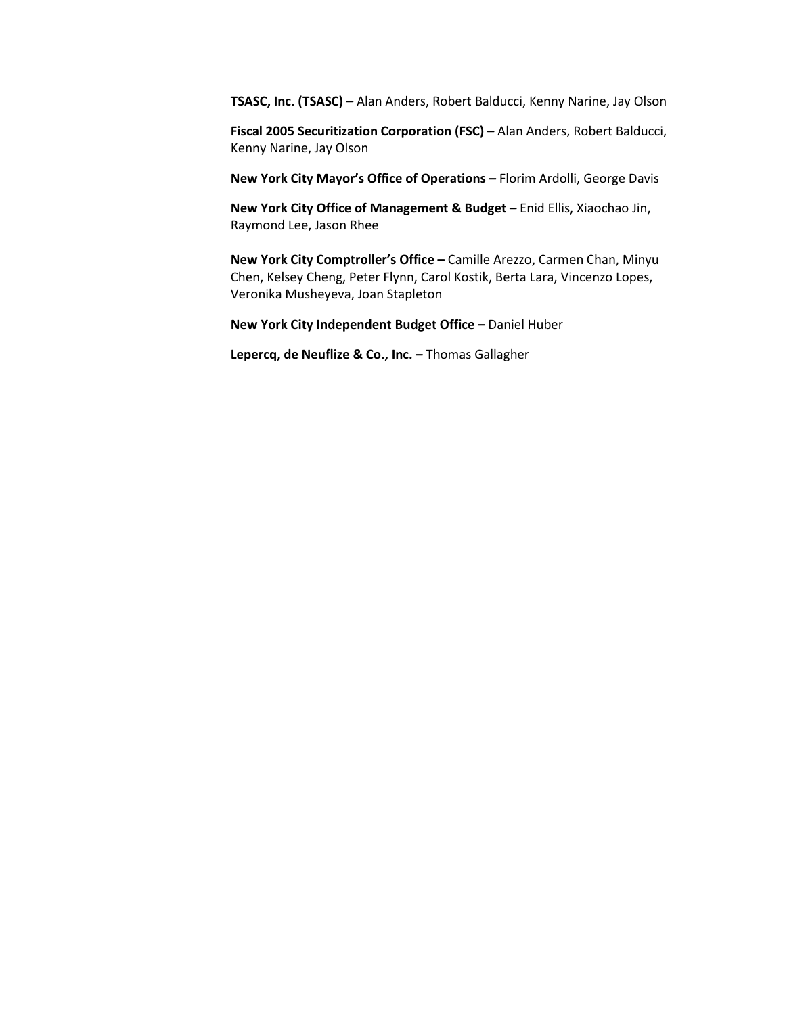**TSASC, Inc. (TSASC) –** Alan Anders, Robert Balducci, Kenny Narine, Jay Olson

**Fiscal 2005 Securitization Corporation (FSC) –** Alan Anders, Robert Balducci, Kenny Narine, Jay Olson

**New York City Mayor's Office of Operations –** Florim Ardolli, George Davis

**New York City Office of Management & Budget –** Enid Ellis, Xiaochao Jin, Raymond Lee, Jason Rhee

**New York City Comptroller's Office –** Camille Arezzo, Carmen Chan, Minyu Chen, Kelsey Cheng, Peter Flynn, Carol Kostik, Berta Lara, Vincenzo Lopes, Veronika Musheyeva, Joan Stapleton

**New York City Independent Budget Office –** Daniel Huber

**Lepercq, de Neuflize & Co., Inc. –** Thomas Gallagher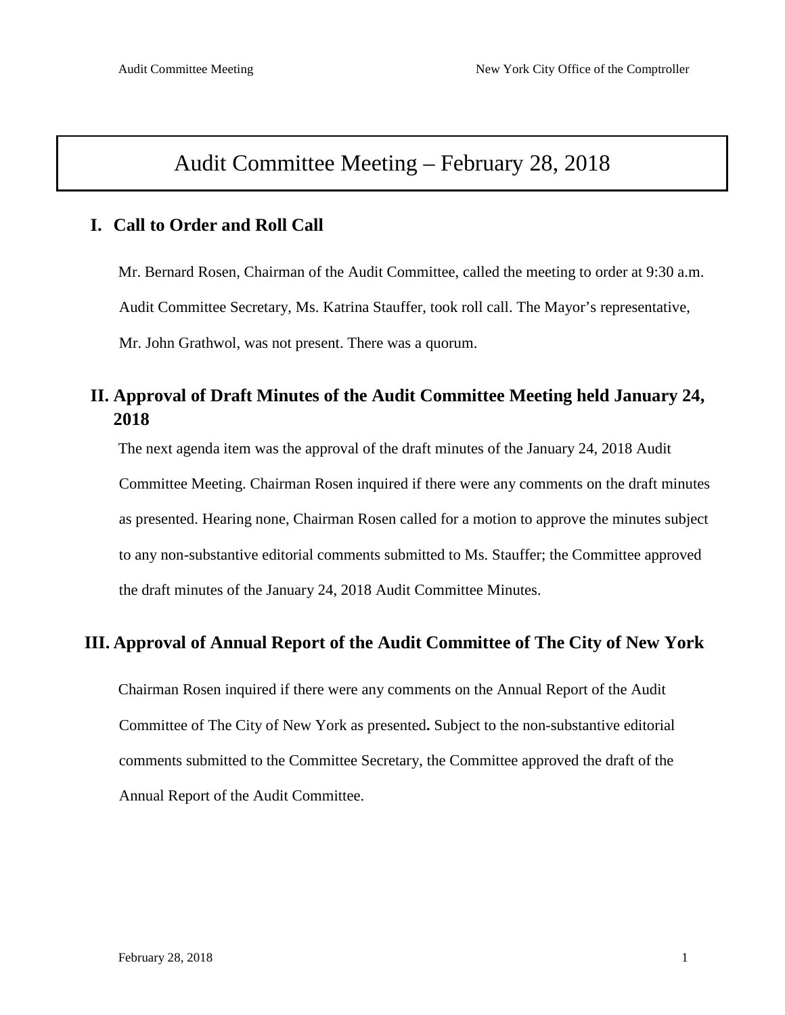# Audit Committee Meeting – February 28, 2018

### **I. Call to Order and Roll Call**

Mr. Bernard Rosen, Chairman of the Audit Committee, called the meeting to order at 9:30 a.m. Audit Committee Secretary, Ms. Katrina Stauffer, took roll call. The Mayor's representative, Mr. John Grathwol, was not present. There was a quorum.

## **II. Approval of Draft Minutes of the Audit Committee Meeting held January 24, 2018**

The next agenda item was the approval of the draft minutes of the January 24, 2018 Audit

Committee Meeting. Chairman Rosen inquired if there were any comments on the draft minutes as presented. Hearing none, Chairman Rosen called for a motion to approve the minutes subject to any non-substantive editorial comments submitted to Ms. Stauffer; the Committee approved the draft minutes of the January 24, 2018 Audit Committee Minutes.

### **III. Approval of Annual Report of the Audit Committee of The City of New York**

Chairman Rosen inquired if there were any comments on the Annual Report of the Audit Committee of The City of New York as presented**.** Subject to the non-substantive editorial comments submitted to the Committee Secretary, the Committee approved the draft of the Annual Report of the Audit Committee.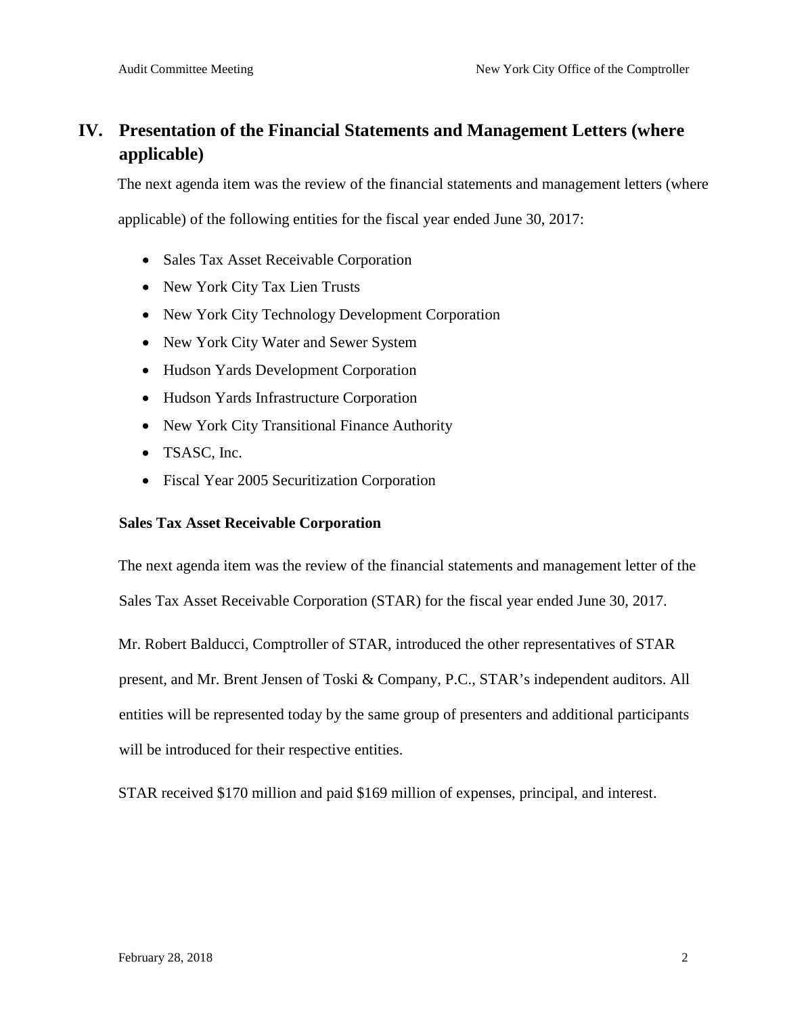# **IV. Presentation of the Financial Statements and Management Letters (where applicable)**

The next agenda item was the review of the financial statements and management letters (where

applicable) of the following entities for the fiscal year ended June 30, 2017:

- Sales Tax Asset Receivable Corporation
- New York City Tax Lien Trusts
- New York City Technology Development Corporation
- New York City Water and Sewer System
- Hudson Yards Development Corporation
- Hudson Yards Infrastructure Corporation
- New York City Transitional Finance Authority
- TSASC, Inc.
- Fiscal Year 2005 Securitization Corporation

#### **Sales Tax Asset Receivable Corporation**

The next agenda item was the review of the financial statements and management letter of the Sales Tax Asset Receivable Corporation (STAR) for the fiscal year ended June 30, 2017.

Mr. Robert Balducci, Comptroller of STAR, introduced the other representatives of STAR

present, and Mr. Brent Jensen of Toski & Company, P.C., STAR's independent auditors. All entities will be represented today by the same group of presenters and additional participants will be introduced for their respective entities.

STAR received \$170 million and paid \$169 million of expenses, principal, and interest.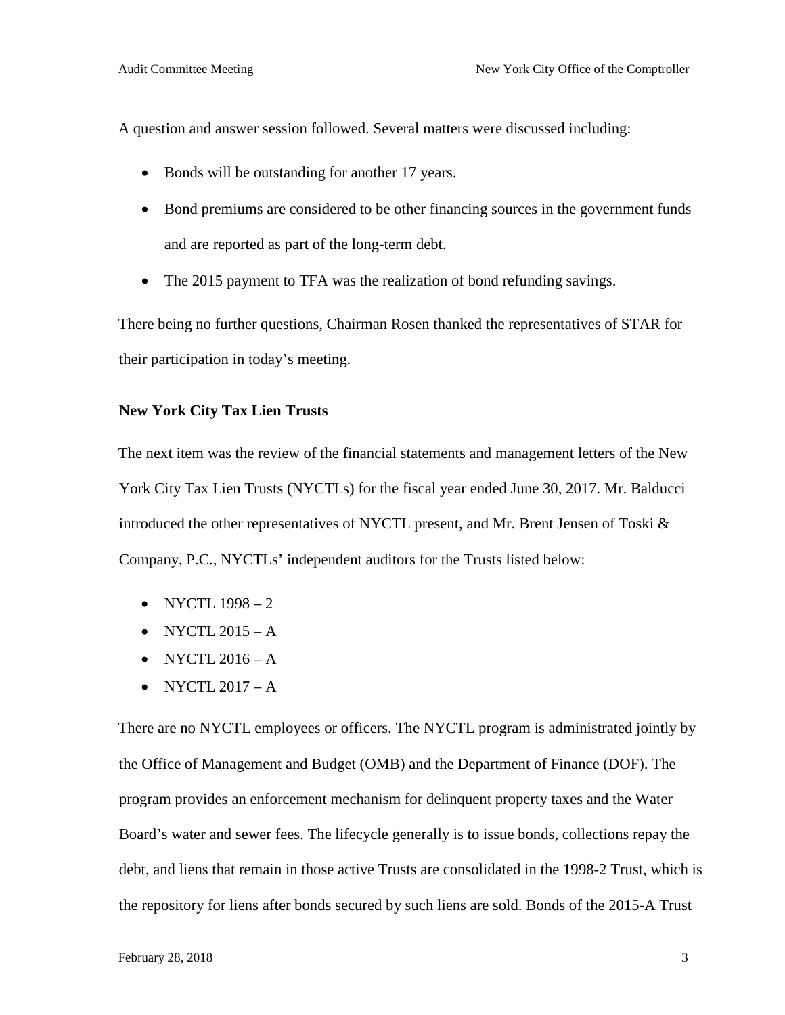A question and answer session followed. Several matters were discussed including:

- Bonds will be outstanding for another 17 years.
- Bond premiums are considered to be other financing sources in the government funds and are reported as part of the long-term debt.
- The 2015 payment to TFA was the realization of bond refunding savings.

There being no further questions, Chairman Rosen thanked the representatives of STAR for their participation in today's meeting.

#### **New York City Tax Lien Trusts**

The next item was the review of the financial statements and management letters of the New York City Tax Lien Trusts (NYCTLs) for the fiscal year ended June 30, 2017. Mr. Balducci introduced the other representatives of NYCTL present, and Mr. Brent Jensen of Toski & Company, P.C., NYCTLs' independent auditors for the Trusts listed below:

- NYCTL  $1998-2$
- NYCTL  $2015 A$
- NYCTL  $2016 A$
- NYCTL  $2017 A$

There are no NYCTL employees or officers. The NYCTL program is administrated jointly by the Office of Management and Budget (OMB) and the Department of Finance (DOF). The program provides an enforcement mechanism for delinquent property taxes and the Water Board's water and sewer fees. The lifecycle generally is to issue bonds, collections repay the debt, and liens that remain in those active Trusts are consolidated in the 1998-2 Trust, which is the repository for liens after bonds secured by such liens are sold. Bonds of the 2015-A Trust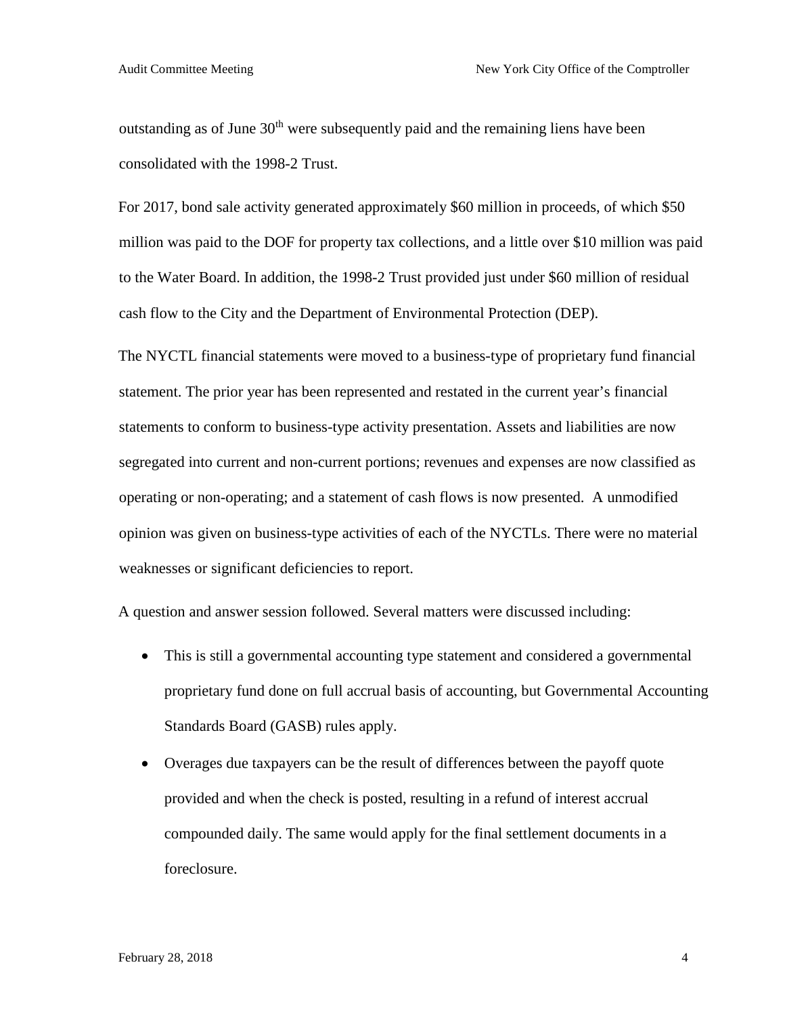outstanding as of June  $30<sup>th</sup>$  were subsequently paid and the remaining liens have been consolidated with the 1998-2 Trust.

For 2017, bond sale activity generated approximately \$60 million in proceeds, of which \$50 million was paid to the DOF for property tax collections, and a little over \$10 million was paid to the Water Board. In addition, the 1998-2 Trust provided just under \$60 million of residual cash flow to the City and the Department of Environmental Protection (DEP).

The NYCTL financial statements were moved to a business-type of proprietary fund financial statement. The prior year has been represented and restated in the current year's financial statements to conform to business-type activity presentation. Assets and liabilities are now segregated into current and non-current portions; revenues and expenses are now classified as operating or non-operating; and a statement of cash flows is now presented. A unmodified opinion was given on business-type activities of each of the NYCTLs. There were no material weaknesses or significant deficiencies to report.

A question and answer session followed. Several matters were discussed including:

- This is still a governmental accounting type statement and considered a governmental proprietary fund done on full accrual basis of accounting, but Governmental Accounting Standards Board (GASB) rules apply.
- Overages due taxpayers can be the result of differences between the payoff quote provided and when the check is posted, resulting in a refund of interest accrual compounded daily. The same would apply for the final settlement documents in a foreclosure.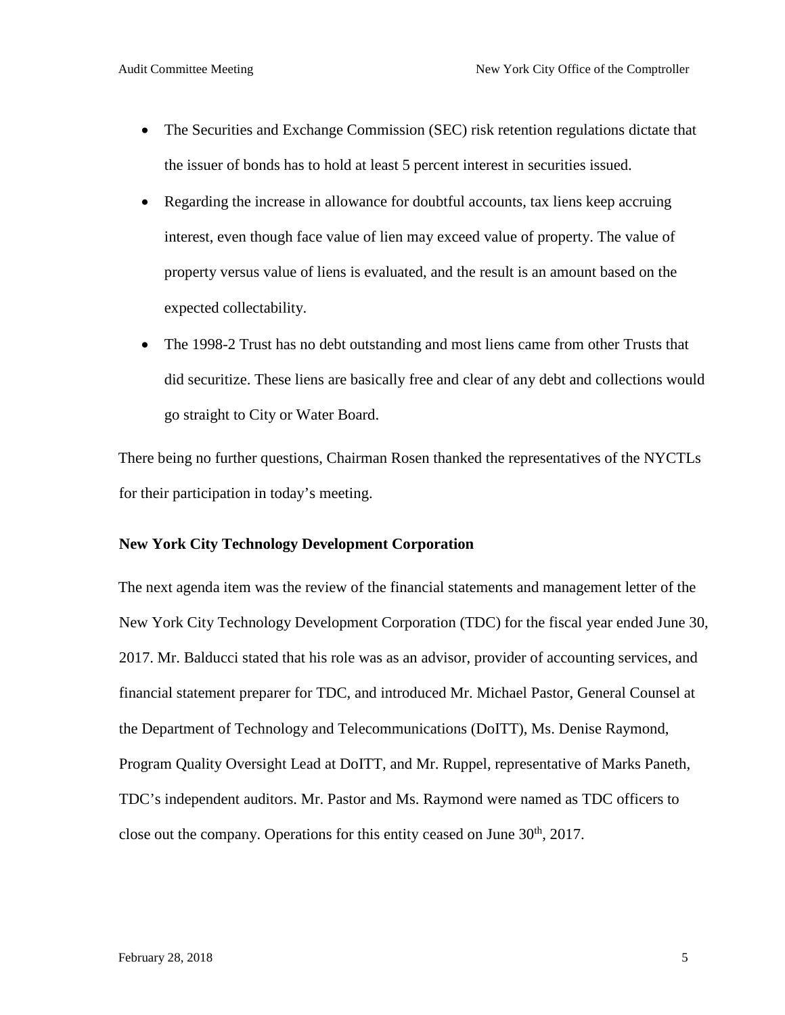- The Securities and Exchange Commission (SEC) risk retention regulations dictate that the issuer of bonds has to hold at least 5 percent interest in securities issued.
- Regarding the increase in allowance for doubtful accounts, tax liens keep accruing interest, even though face value of lien may exceed value of property. The value of property versus value of liens is evaluated, and the result is an amount based on the expected collectability.
- The 1998-2 Trust has no debt outstanding and most liens came from other Trusts that did securitize. These liens are basically free and clear of any debt and collections would go straight to City or Water Board.

There being no further questions, Chairman Rosen thanked the representatives of the NYCTLs for their participation in today's meeting.

#### **New York City Technology Development Corporation**

The next agenda item was the review of the financial statements and management letter of the New York City Technology Development Corporation (TDC) for the fiscal year ended June 30, 2017. Mr. Balducci stated that his role was as an advisor, provider of accounting services, and financial statement preparer for TDC, and introduced Mr. Michael Pastor, General Counsel at the Department of Technology and Telecommunications (DoITT), Ms. Denise Raymond, Program Quality Oversight Lead at DoITT, and Mr. Ruppel, representative of Marks Paneth, TDC's independent auditors. Mr. Pastor and Ms. Raymond were named as TDC officers to close out the company. Operations for this entity ceased on June  $30<sup>th</sup>$ , 2017.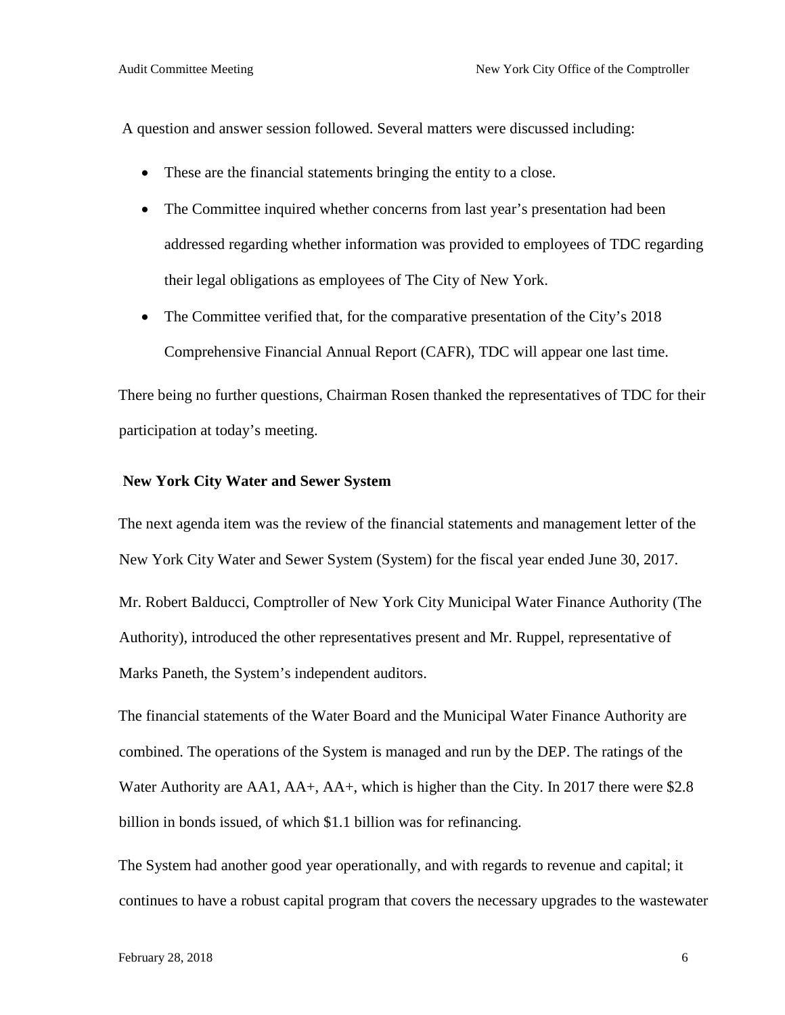A question and answer session followed. Several matters were discussed including:

- These are the financial statements bringing the entity to a close.
- The Committee inquired whether concerns from last year's presentation had been addressed regarding whether information was provided to employees of TDC regarding their legal obligations as employees of The City of New York.
- The Committee verified that, for the comparative presentation of the City's 2018 Comprehensive Financial Annual Report (CAFR), TDC will appear one last time.

There being no further questions, Chairman Rosen thanked the representatives of TDC for their participation at today's meeting.

#### **New York City Water and Sewer System**

The next agenda item was the review of the financial statements and management letter of the New York City Water and Sewer System (System) for the fiscal year ended June 30, 2017.

Mr. Robert Balducci, Comptroller of New York City Municipal Water Finance Authority (The Authority), introduced the other representatives present and Mr. Ruppel, representative of Marks Paneth, the System's independent auditors.

The financial statements of the Water Board and the Municipal Water Finance Authority are combined. The operations of the System is managed and run by the DEP. The ratings of the Water Authority are AA1, AA+, AA+, which is higher than the City. In 2017 there were \$2.8 billion in bonds issued, of which \$1.1 billion was for refinancing.

The System had another good year operationally, and with regards to revenue and capital; it continues to have a robust capital program that covers the necessary upgrades to the wastewater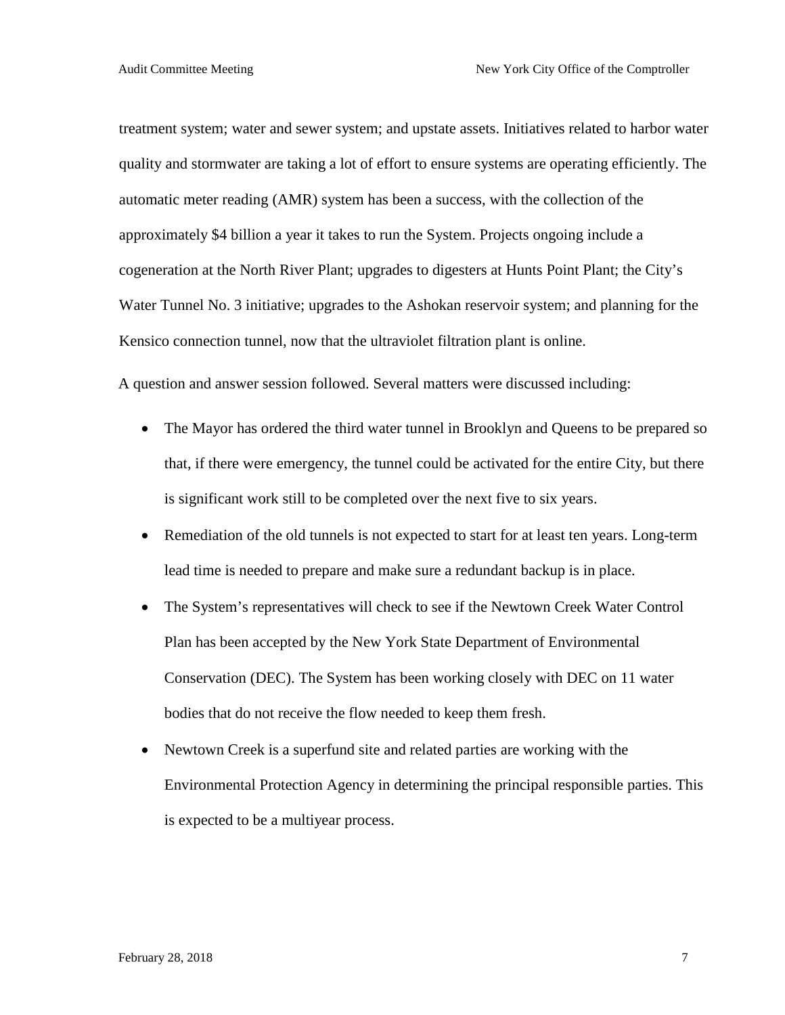treatment system; water and sewer system; and upstate assets. Initiatives related to harbor water quality and stormwater are taking a lot of effort to ensure systems are operating efficiently. The automatic meter reading (AMR) system has been a success, with the collection of the approximately \$4 billion a year it takes to run the System. Projects ongoing include a cogeneration at the North River Plant; upgrades to digesters at Hunts Point Plant; the City's Water Tunnel No. 3 initiative; upgrades to the Ashokan reservoir system; and planning for the Kensico connection tunnel, now that the ultraviolet filtration plant is online.

A question and answer session followed. Several matters were discussed including:

- The Mayor has ordered the third water tunnel in Brooklyn and Queens to be prepared so that, if there were emergency, the tunnel could be activated for the entire City, but there is significant work still to be completed over the next five to six years.
- Remediation of the old tunnels is not expected to start for at least ten years. Long-term lead time is needed to prepare and make sure a redundant backup is in place.
- The System's representatives will check to see if the Newtown Creek Water Control Plan has been accepted by the New York State Department of Environmental Conservation (DEC). The System has been working closely with DEC on 11 water bodies that do not receive the flow needed to keep them fresh.
- Newtown Creek is a superfund site and related parties are working with the Environmental Protection Agency in determining the principal responsible parties. This is expected to be a multiyear process.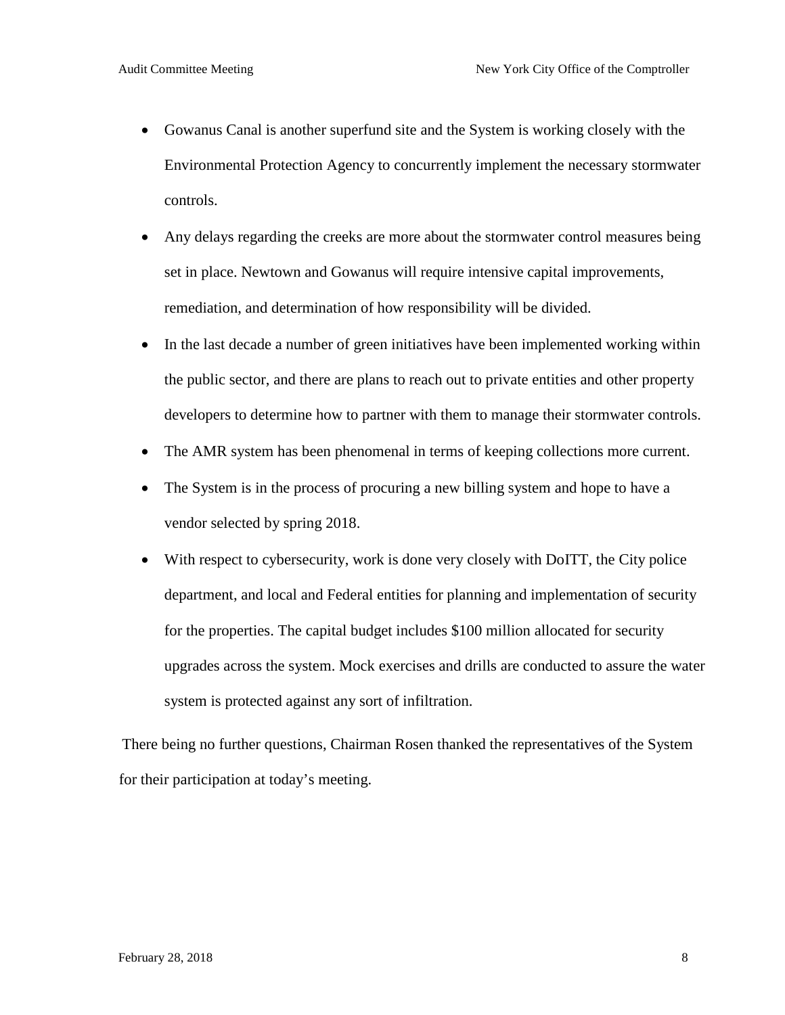- Gowanus Canal is another superfund site and the System is working closely with the Environmental Protection Agency to concurrently implement the necessary stormwater controls.
- Any delays regarding the creeks are more about the stormwater control measures being set in place. Newtown and Gowanus will require intensive capital improvements, remediation, and determination of how responsibility will be divided.
- In the last decade a number of green initiatives have been implemented working within the public sector, and there are plans to reach out to private entities and other property developers to determine how to partner with them to manage their stormwater controls.
- The AMR system has been phenomenal in terms of keeping collections more current.
- The System is in the process of procuring a new billing system and hope to have a vendor selected by spring 2018.
- With respect to cybersecurity, work is done very closely with DoITT, the City police department, and local and Federal entities for planning and implementation of security for the properties. The capital budget includes \$100 million allocated for security upgrades across the system. Mock exercises and drills are conducted to assure the water system is protected against any sort of infiltration.

There being no further questions, Chairman Rosen thanked the representatives of the System for their participation at today's meeting.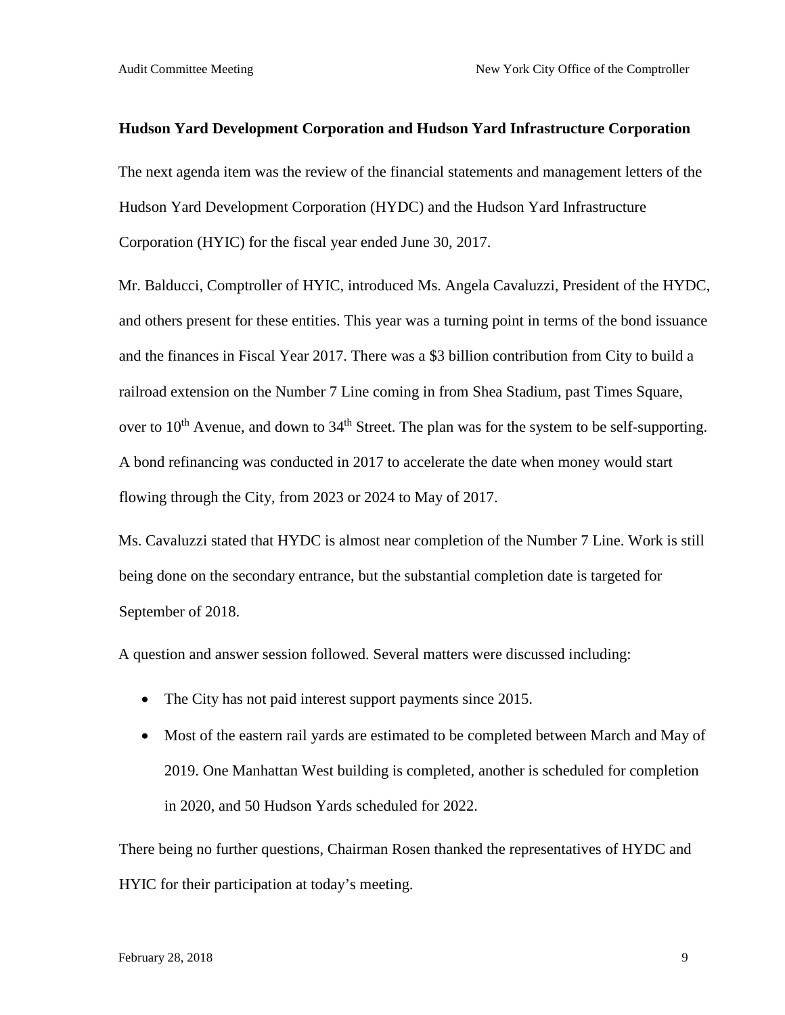#### **Hudson Yard Development Corporation and Hudson Yard Infrastructure Corporation**

The next agenda item was the review of the financial statements and management letters of the Hudson Yard Development Corporation (HYDC) and the Hudson Yard Infrastructure Corporation (HYIC) for the fiscal year ended June 30, 2017.

Mr. Balducci, Comptroller of HYIC, introduced Ms. Angela Cavaluzzi, President of the HYDC, and others present for these entities. This year was a turning point in terms of the bond issuance and the finances in Fiscal Year 2017. There was a \$3 billion contribution from City to build a railroad extension on the Number 7 Line coming in from Shea Stadium, past Times Square, over to  $10<sup>th</sup>$  Avenue, and down to  $34<sup>th</sup>$  Street. The plan was for the system to be self-supporting. A bond refinancing was conducted in 2017 to accelerate the date when money would start flowing through the City, from 2023 or 2024 to May of 2017.

Ms. Cavaluzzi stated that HYDC is almost near completion of the Number 7 Line. Work is still being done on the secondary entrance, but the substantial completion date is targeted for September of 2018.

A question and answer session followed. Several matters were discussed including:

- The City has not paid interest support payments since 2015.
- Most of the eastern rail yards are estimated to be completed between March and May of 2019. One Manhattan West building is completed, another is scheduled for completion in 2020, and 50 Hudson Yards scheduled for 2022.

There being no further questions, Chairman Rosen thanked the representatives of HYDC and HYIC for their participation at today's meeting.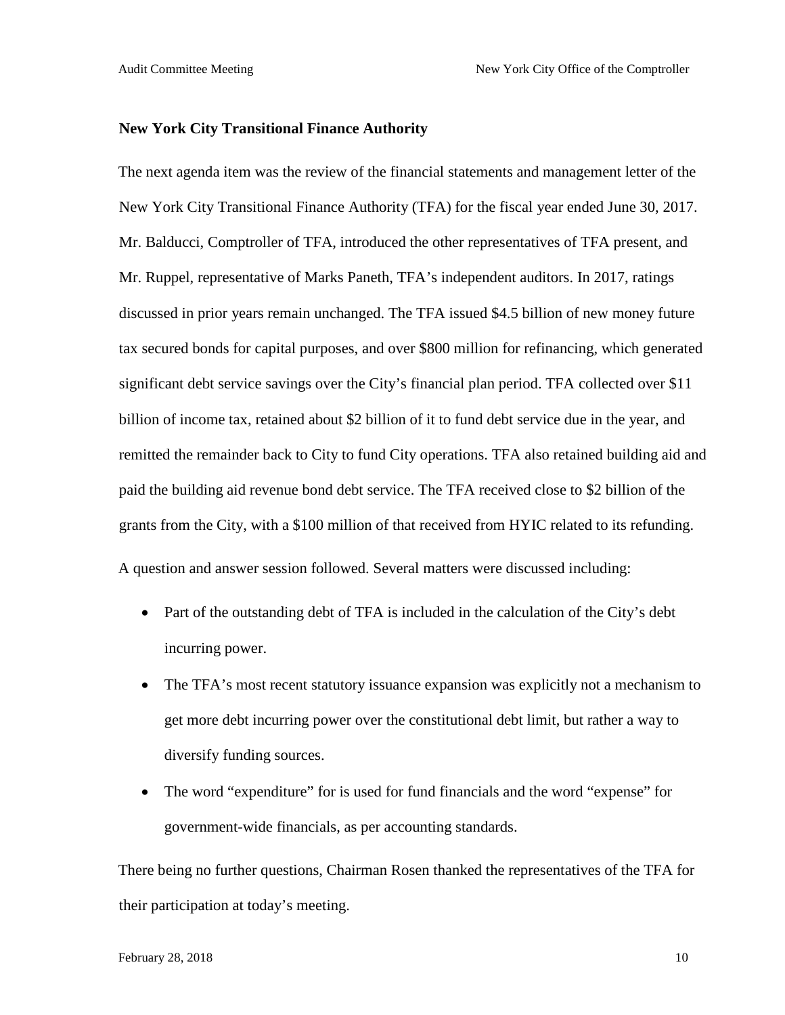#### **New York City Transitional Finance Authority**

The next agenda item was the review of the financial statements and management letter of the New York City Transitional Finance Authority (TFA) for the fiscal year ended June 30, 2017. Mr. Balducci, Comptroller of TFA, introduced the other representatives of TFA present, and Mr. Ruppel, representative of Marks Paneth, TFA's independent auditors. In 2017, ratings discussed in prior years remain unchanged. The TFA issued \$4.5 billion of new money future tax secured bonds for capital purposes, and over \$800 million for refinancing, which generated significant debt service savings over the City's financial plan period. TFA collected over \$11 billion of income tax, retained about \$2 billion of it to fund debt service due in the year, and remitted the remainder back to City to fund City operations. TFA also retained building aid and paid the building aid revenue bond debt service. The TFA received close to \$2 billion of the grants from the City, with a \$100 million of that received from HYIC related to its refunding. A question and answer session followed. Several matters were discussed including:

- Part of the outstanding debt of TFA is included in the calculation of the City's debt incurring power.
- The TFA's most recent statutory issuance expansion was explicitly not a mechanism to get more debt incurring power over the constitutional debt limit, but rather a way to diversify funding sources.
- The word "expenditure" for is used for fund financials and the word "expense" for government-wide financials, as per accounting standards.

There being no further questions, Chairman Rosen thanked the representatives of the TFA for their participation at today's meeting.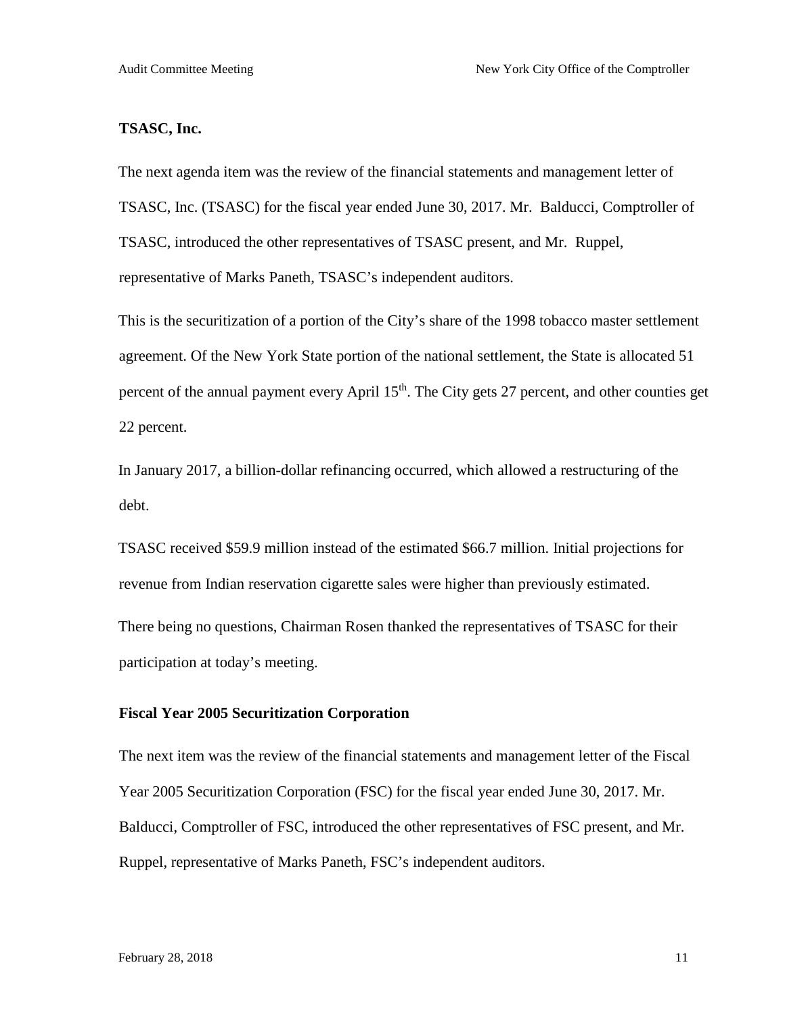#### **TSASC, Inc.**

The next agenda item was the review of the financial statements and management letter of TSASC, Inc. (TSASC) for the fiscal year ended June 30, 2017. Mr. Balducci, Comptroller of TSASC, introduced the other representatives of TSASC present, and Mr. Ruppel, representative of Marks Paneth, TSASC's independent auditors.

This is the securitization of a portion of the City's share of the 1998 tobacco master settlement agreement. Of the New York State portion of the national settlement, the State is allocated 51 percent of the annual payment every April 15<sup>th</sup>. The City gets 27 percent, and other counties get 22 percent.

In January 2017, a billion-dollar refinancing occurred, which allowed a restructuring of the debt.

TSASC received \$59.9 million instead of the estimated \$66.7 million. Initial projections for revenue from Indian reservation cigarette sales were higher than previously estimated. There being no questions, Chairman Rosen thanked the representatives of TSASC for their participation at today's meeting.

#### **Fiscal Year 2005 Securitization Corporation**

The next item was the review of the financial statements and management letter of the Fiscal Year 2005 Securitization Corporation (FSC) for the fiscal year ended June 30, 2017. Mr. Balducci, Comptroller of FSC, introduced the other representatives of FSC present, and Mr. Ruppel, representative of Marks Paneth, FSC's independent auditors.